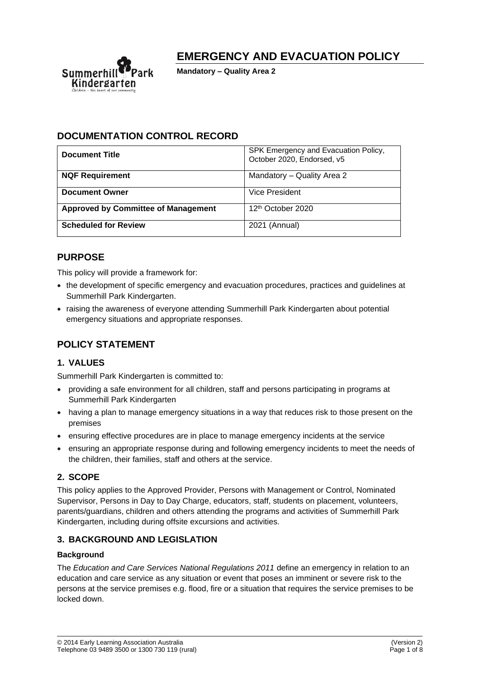

# **EMERGENCY AND EVACUATION POLICY**

**Mandatory – Quality Area 2**

## **DOCUMENTATION CONTROL RECORD**

| <b>Document Title</b>                      | SPK Emergency and Evacuation Policy,<br>October 2020, Endorsed, v5 |
|--------------------------------------------|--------------------------------------------------------------------|
| <b>NQF Requirement</b>                     | Mandatory - Quality Area 2                                         |
| <b>Document Owner</b>                      | Vice President                                                     |
| <b>Approved by Committee of Management</b> | 12 <sup>th</sup> October 2020                                      |
| <b>Scheduled for Review</b>                | 2021 (Annual)                                                      |

## **PURPOSE**

This policy will provide a framework for:

- the development of specific emergency and evacuation procedures, practices and guidelines at Summerhill Park Kindergarten.
- raising the awareness of everyone attending Summerhill Park Kindergarten about potential emergency situations and appropriate responses.

## **POLICY STATEMENT**

### **1. VALUES**

Summerhill Park Kindergarten is committed to:

- providing a safe environment for all children, staff and persons participating in programs at Summerhill Park Kindergarten
- having a plan to manage emergency situations in a way that reduces risk to those present on the premises
- ensuring effective procedures are in place to manage emergency incidents at the service
- ensuring an appropriate response during and following emergency incidents to meet the needs of the children, their families, staff and others at the service.

### **2. SCOPE**

This policy applies to the Approved Provider, Persons with Management or Control, Nominated Supervisor, Persons in Day to Day Charge, educators, staff, students on placement, volunteers, parents/guardians, children and others attending the programs and activities of Summerhill Park Kindergarten, including during offsite excursions and activities.

### **3. BACKGROUND AND LEGISLATION**

#### **Background**

The *Education and Care Services National Regulations 2011* define an emergency in relation to an education and care service as any situation or event that poses an imminent or severe risk to the persons at the service premises e.g. flood, fire or a situation that requires the service premises to be locked down.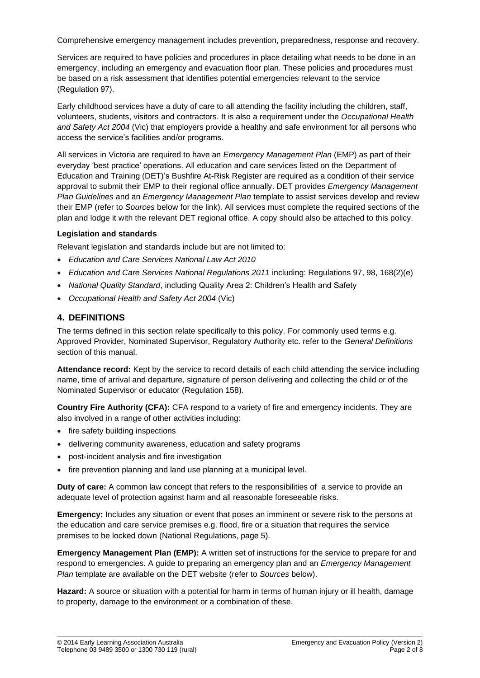Comprehensive emergency management includes prevention, preparedness, response and recovery.

Services are required to have policies and procedures in place detailing what needs to be done in an emergency, including an emergency and evacuation floor plan. These policies and procedures must be based on a risk assessment that identifies potential emergencies relevant to the service (Regulation 97).

Early childhood services have a duty of care to all attending the facility including the children, staff, volunteers, students, visitors and contractors. It is also a requirement under the *Occupational Health and Safety Act 2004* (Vic) that employers provide a healthy and safe environment for all persons who access the service's facilities and/or programs.

All services in Victoria are required to have an *Emergency Management Plan* (EMP) as part of their everyday 'best practice' operations. All education and care services listed on the Department of Education and Training (DET)'s Bushfire At-Risk Register are required as a condition of their service approval to submit their EMP to their regional office annually. DET provides *Emergency Management Plan Guidelines* and an *Emergency Management Plan* template to assist services develop and review their EMP (refer to *Sources* below for the link). All services must complete the required sections of the plan and lodge it with the relevant DET regional office. A copy should also be attached to this policy.

#### **Legislation and standards**

Relevant legislation and standards include but are not limited to:

- *Education and Care Services National Law Act 2010*
- *Education and Care Services National Regulations 2011* including: Regulations 97, 98, 168(2)(e)
- *National Quality Standard*, including Quality Area 2: Children's Health and Safety
- *Occupational Health and Safety Act 2004* (Vic)

### **4. DEFINITIONS**

The terms defined in this section relate specifically to this policy. For commonly used terms e.g. Approved Provider, Nominated Supervisor, Regulatory Authority etc. refer to the *General Definitions* section of this manual.

**Attendance record:** Kept by the service to record details of each child attending the service including name, time of arrival and departure, signature of person delivering and collecting the child or of the Nominated Supervisor or educator (Regulation 158).

**Country Fire Authority (CFA):** CFA respond to a variety of fire and emergency incidents. They are also involved in a range of other activities including:

- fire safety building inspections
- delivering community awareness, education and safety programs
- post-incident analysis and fire investigation
- fire prevention planning and land use planning at a municipal level.

**Duty of care:** A common law concept that refers to the responsibilities of a service to provide an adequate level of protection against harm and all reasonable foreseeable risks.

**Emergency:** Includes any situation or event that poses an imminent or severe risk to the persons at the education and care service premises e.g. flood, fire or a situation that requires the service premises to be locked down (National Regulations, page 5).

**Emergency Management Plan (EMP):** A written set of instructions for the service to prepare for and respond to emergencies. A guide to preparing an emergency plan and an *Emergency Management Plan* template are available on the DET website (refer to *Sources* below).

**Hazard:** A source or situation with a potential for harm in terms of human injury or ill health, damage to property, damage to the environment or a combination of these.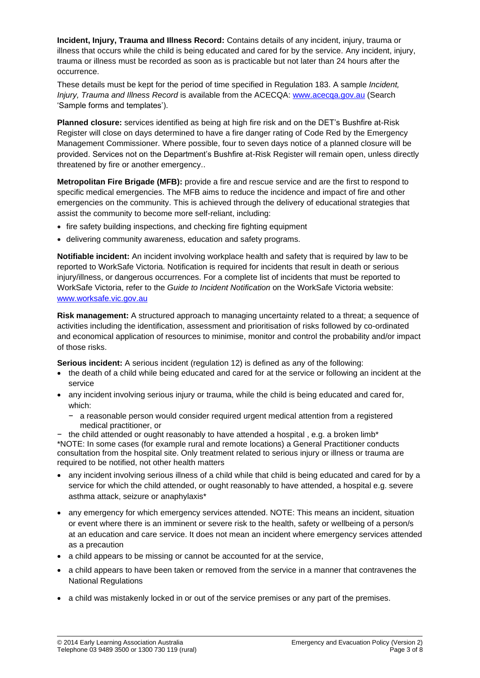**Incident, Injury, Trauma and Illness Record:** Contains details of any incident, injury, trauma or illness that occurs while the child is being educated and cared for by the service. Any incident, injury, trauma or illness must be recorded as soon as is practicable but not later than 24 hours after the occurrence.

These details must be kept for the period of time specified in Regulation 183. A sample *Incident, Injury, Trauma and Illness Record* is available from the ACECQA: [www.acecqa.gov.au](http://www.acecqa.gov.au/) (Search 'Sample forms and templates').

**Planned closure:** services identified as being at high fire risk and on the DET's Bushfire at-Risk Register will close on days determined to have a fire danger rating of Code Red by the Emergency Management Commissioner. Where possible, four to seven days notice of a planned closure will be provided. Services not on the Department's Bushfire at-Risk Register will remain open, unless directly threatened by fire or another emergency..

**Metropolitan Fire Brigade (MFB):** provide a fire and rescue service and are the first to respond to specific medical emergencies. The MFB aims to reduce the incidence and impact of fire and other emergencies on the community. This is achieved through the delivery of educational strategies that assist the community to become more self-reliant, including:

- fire safety building inspections, and checking fire fighting equipment
- delivering community awareness, education and safety programs.

**Notifiable incident:** An incident involving workplace health and safety that is required by law to be reported to WorkSafe Victoria. Notification is required for incidents that result in death or serious injury/illness, or dangerous occurrences. For a complete list of incidents that must be reported to WorkSafe Victoria, refer to the *Guide to Incident Notification* on the WorkSafe Victoria website: [www.worksafe.vic.gov.au](http://www.worksafe.vic.gov.au/)

**Risk management:** A structured approach to managing uncertainty related to a threat; a sequence of activities including the identification, assessment and prioritisation of risks followed by co-ordinated and economical application of resources to minimise, monitor and control the probability and/or impact of those risks.

**Serious incident:** A serious incident (regulation 12) is defined as any of the following:

- the death of a child while being educated and cared for at the service or following an incident at the service
- any incident involving serious injury or trauma, while the child is being educated and cared for, which:
	- − a reasonable person would consider required urgent medical attention from a registered medical practitioner, or
- − the child attended or ought reasonably to have attended a hospital , e.g. a broken limb\*

\*NOTE: In some cases (for example rural and remote locations) a General Practitioner conducts consultation from the hospital site. Only treatment related to serious injury or illness or trauma are required to be notified, not other health matters

- any incident involving serious illness of a child while that child is being educated and cared for by a service for which the child attended, or ought reasonably to have attended, a hospital e.g. severe asthma attack, seizure or anaphylaxis\*
- any emergency for which emergency services attended. NOTE: This means an incident, situation or event where there is an imminent or severe risk to the health, safety or wellbeing of a person/s at an education and care service. It does not mean an incident where emergency services attended as a precaution
- a child appears to be missing or cannot be accounted for at the service,
- a child appears to have been taken or removed from the service in a manner that contravenes the National Regulations
- a child was mistakenly locked in or out of the service premises or any part of the premises.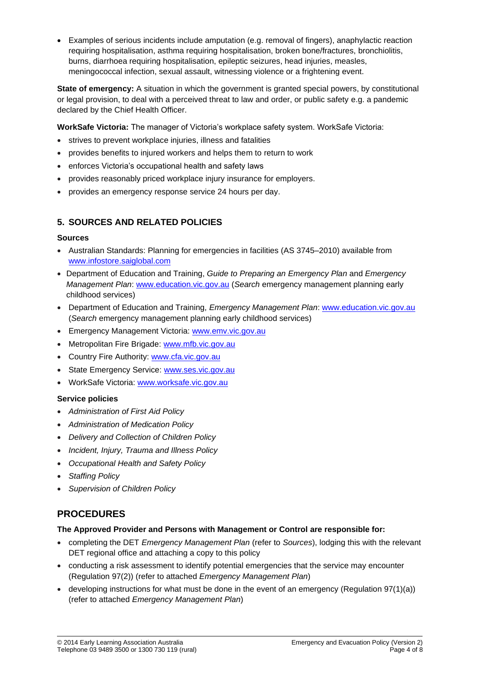• Examples of serious incidents include amputation (e.g. removal of fingers), anaphylactic reaction requiring hospitalisation, asthma requiring hospitalisation, broken bone/fractures, bronchiolitis, burns, diarrhoea requiring hospitalisation, epileptic seizures, head injuries, measles, meningococcal infection, sexual assault, witnessing violence or a frightening event.

**State of emergency:** A situation in which the government is granted special powers, by constitutional or legal provision, to deal with a perceived threat to law and order, or public safety e.g. a pandemic declared by the Chief Health Officer.

**WorkSafe Victoria:** The manager of Victoria's workplace safety system. WorkSafe Victoria:

- strives to prevent workplace injuries, illness and fatalities
- provides benefits to injured workers and helps them to return to work
- enforces Victoria's occupational health and safety laws
- provides reasonably priced workplace injury insurance for employers.
- provides an emergency response service 24 hours per day.

### **5. SOURCES AND RELATED POLICIES**

#### **Sources**

- Australian Standards: Planning for emergencies in facilities (AS 3745–2010) available from [www.infostore.saiglobal.com](https://infostore.saiglobal.com/)
- Department of Education and Training, *Guide to Preparing an Emergency Plan* and *Emergency Management Plan*: [www.education.vic.gov.au](http://www.education.vic.gov.au/Pages/default.aspx) (*Search* emergency management planning early childhood services)
- Department of Education and Training, *Emergency Management Plan*: [www.education.vic.gov.au](http://www.education.vic.gov.au/Pages/default.aspx) (*Search* emergency management planning early childhood services)
- Emergency Management Victoria: [www.emv.vic.gov.au](http://www.emv.vic.gov.au/)
- Metropolitan Fire Brigade: [www.mfb.vic.gov.au](http://www.mfb.vic.gov.au/)
- Country Fire Authority: [www.cfa.vic.gov.au](http://www.cfa.vic.gov.au/)
- State Emergency Service: [www.ses.vic.gov.au](http://www.ses.vic.gov.au/)
- WorkSafe Victoria: [www.worksafe.vic.gov.au](http://www.worksafe.vic.gov.au/)

#### **Service policies**

- *Administration of First Aid Policy*
- *Administration of Medication Policy*
- *Delivery and Collection of Children Policy*
- *Incident, Injury, Trauma and Illness Policy*
- *Occupational Health and Safety Policy*
- *Staffing Policy*
- *Supervision of Children Policy*

## **PROCEDURES**

#### **The Approved Provider and Persons with Management or Control are responsible for:**

- completing the DET *Emergency Management Plan* (refer to *Sources*), lodging this with the relevant DET regional office and attaching a copy to this policy
- conducting a risk assessment to identify potential emergencies that the service may encounter (Regulation 97(2)) (refer to attached *Emergency Management Plan*)
- developing instructions for what must be done in the event of an emergency (Regulation  $97(1)(a)$ ) (refer to attached *Emergency Management Plan*)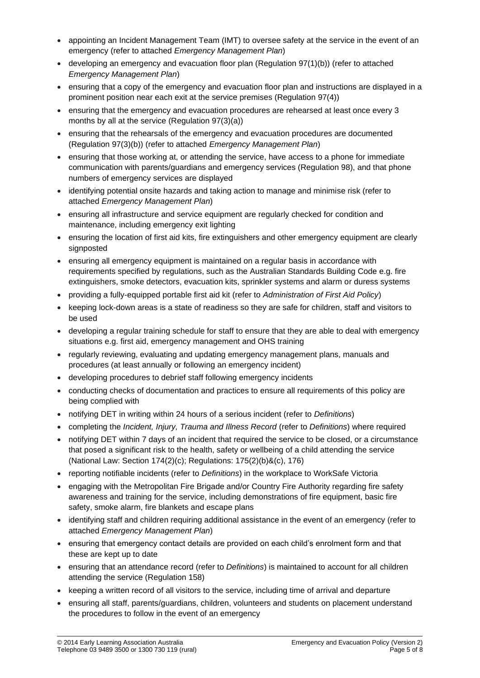- appointing an Incident Management Team (IMT) to oversee safety at the service in the event of an emergency (refer to attached *Emergency Management Plan*)
- developing an emergency and evacuation floor plan (Regulation 97(1)(b)) (refer to attached *Emergency Management Plan*)
- ensuring that a copy of the emergency and evacuation floor plan and instructions are displayed in a prominent position near each exit at the service premises (Regulation 97(4))
- ensuring that the emergency and evacuation procedures are rehearsed at least once every 3 months by all at the service (Regulation 97(3)(a))
- ensuring that the rehearsals of the emergency and evacuation procedures are documented (Regulation 97(3)(b)) (refer to attached *Emergency Management Plan*)
- ensuring that those working at, or attending the service, have access to a phone for immediate communication with parents/guardians and emergency services (Regulation 98), and that phone numbers of emergency services are displayed
- identifying potential onsite hazards and taking action to manage and minimise risk (refer to attached *Emergency Management Plan*)
- ensuring all infrastructure and service equipment are regularly checked for condition and maintenance, including emergency exit lighting
- ensuring the location of first aid kits, fire extinguishers and other emergency equipment are clearly signposted
- ensuring all emergency equipment is maintained on a regular basis in accordance with requirements specified by regulations, such as the Australian Standards Building Code e.g. fire extinguishers, smoke detectors, evacuation kits, sprinkler systems and alarm or duress systems
- providing a fully-equipped portable first aid kit (refer to *Administration of First Aid Policy*)
- keeping lock-down areas is a state of readiness so they are safe for children, staff and visitors to be used
- developing a regular training schedule for staff to ensure that they are able to deal with emergency situations e.g. first aid, emergency management and OHS training
- regularly reviewing, evaluating and updating emergency management plans, manuals and procedures (at least annually or following an emergency incident)
- developing procedures to debrief staff following emergency incidents
- conducting checks of documentation and practices to ensure all requirements of this policy are being complied with
- notifying DET in writing within 24 hours of a serious incident (refer to *Definitions*)
- completing the *Incident, Injury, Trauma and Illness Record* (refer to *Definitions*) where required
- notifying DET within 7 days of an incident that required the service to be closed, or a circumstance that posed a significant risk to the health, safety or wellbeing of a child attending the service (National Law: Section 174(2)(c); Regulations: 175(2)(b)&(c), 176)
- reporting notifiable incidents (refer to *Definitions*) in the workplace to WorkSafe Victoria
- engaging with the Metropolitan Fire Brigade and/or Country Fire Authority regarding fire safety awareness and training for the service, including demonstrations of fire equipment, basic fire safety, smoke alarm, fire blankets and escape plans
- identifying staff and children requiring additional assistance in the event of an emergency (refer to attached *Emergency Management Plan*)
- ensuring that emergency contact details are provided on each child's enrolment form and that these are kept up to date
- ensuring that an attendance record (refer to *Definitions*) is maintained to account for all children attending the service (Regulation 158)
- keeping a written record of all visitors to the service, including time of arrival and departure
- ensuring all staff, parents/guardians, children, volunteers and students on placement understand the procedures to follow in the event of an emergency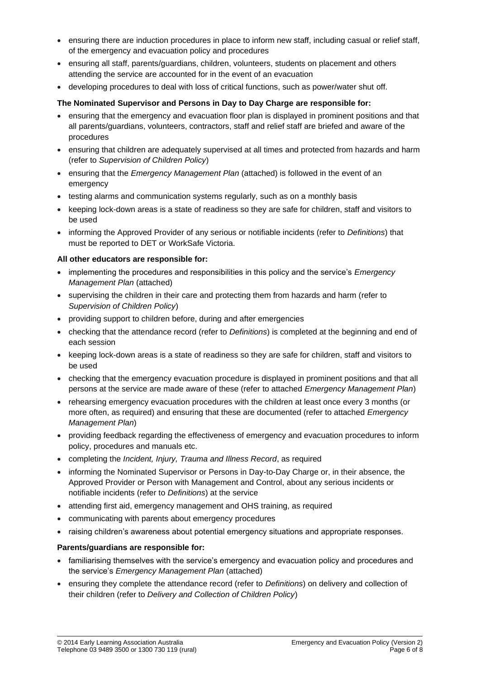- ensuring there are induction procedures in place to inform new staff, including casual or relief staff, of the emergency and evacuation policy and procedures
- ensuring all staff, parents/guardians, children, volunteers, students on placement and others attending the service are accounted for in the event of an evacuation
- developing procedures to deal with loss of critical functions, such as power/water shut off.

#### **The Nominated Supervisor and Persons in Day to Day Charge are responsible for:**

- ensuring that the emergency and evacuation floor plan is displayed in prominent positions and that all parents/guardians, volunteers, contractors, staff and relief staff are briefed and aware of the procedures
- ensuring that children are adequately supervised at all times and protected from hazards and harm (refer to *Supervision of Children Policy*)
- ensuring that the *Emergency Management Plan* (attached) is followed in the event of an emergency
- testing alarms and communication systems regularly, such as on a monthly basis
- keeping lock-down areas is a state of readiness so they are safe for children, staff and visitors to be used
- informing the Approved Provider of any serious or notifiable incidents (refer to *Definitions*) that must be reported to DET or WorkSafe Victoria.

#### **All other educators are responsible for:**

- implementing the procedures and responsibilities in this policy and the service's *Emergency Management Plan* (attached)
- supervising the children in their care and protecting them from hazards and harm (refer to *Supervision of Children Policy*)
- providing support to children before, during and after emergencies
- checking that the attendance record (refer to *Definitions*) is completed at the beginning and end of each session
- keeping lock-down areas is a state of readiness so they are safe for children, staff and visitors to be used
- checking that the emergency evacuation procedure is displayed in prominent positions and that all persons at the service are made aware of these (refer to attached *Emergency Management Plan*)
- rehearsing emergency evacuation procedures with the children at least once every 3 months (or more often, as required) and ensuring that these are documented (refer to attached *Emergency Management Plan*)
- providing feedback regarding the effectiveness of emergency and evacuation procedures to inform policy, procedures and manuals etc.
- completing the *Incident, Injury, Trauma and Illness Record*, as required
- informing the Nominated Supervisor or Persons in Day-to-Day Charge or, in their absence, the Approved Provider or Person with Management and Control, about any serious incidents or notifiable incidents (refer to *Definitions*) at the service
- attending first aid, emergency management and OHS training, as required
- communicating with parents about emergency procedures
- raising children's awareness about potential emergency situations and appropriate responses.

#### **Parents/guardians are responsible for:**

- familiarising themselves with the service's emergency and evacuation policy and procedures and the service's *Emergency Management Plan* (attached)
- ensuring they complete the attendance record (refer to *Definitions*) on delivery and collection of their children (refer to *Delivery and Collection of Children Policy*)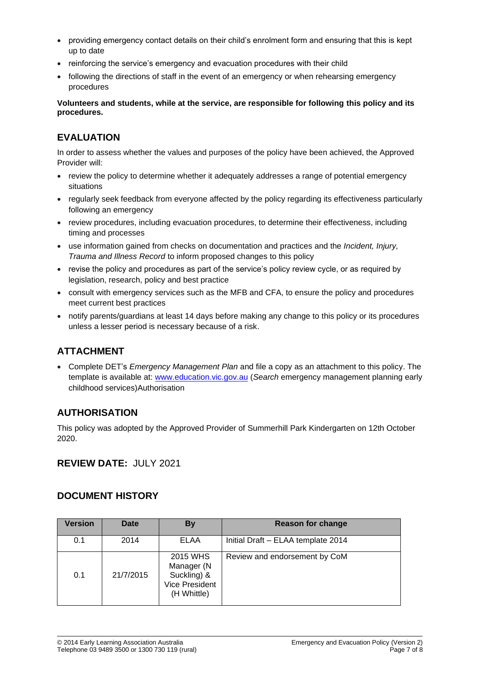- providing emergency contact details on their child's enrolment form and ensuring that this is kept up to date
- reinforcing the service's emergency and evacuation procedures with their child
- following the directions of staff in the event of an emergency or when rehearsing emergency procedures

**Volunteers and students, while at the service, are responsible for following this policy and its procedures.**

## **EVALUATION**

In order to assess whether the values and purposes of the policy have been achieved, the Approved Provider will:

- review the policy to determine whether it adequately addresses a range of potential emergency situations
- regularly seek feedback from everyone affected by the policy regarding its effectiveness particularly following an emergency
- review procedures, including evacuation procedures, to determine their effectiveness, including timing and processes
- use information gained from checks on documentation and practices and the *Incident, Injury, Trauma and Illness Record* to inform proposed changes to this policy
- revise the policy and procedures as part of the service's policy review cycle, or as required by legislation, research, policy and best practice
- consult with emergency services such as the MFB and CFA, to ensure the policy and procedures meet current best practices
- notify parents/guardians at least 14 days before making any change to this policy or its procedures unless a lesser period is necessary because of a risk.

## **ATTACHMENT**

• Complete DET's *Emergency Management Plan* and file a copy as an attachment to this policy. The template is available at: [www.education.vic.gov.au](http://www.education.vic.gov.au/Pages/default.aspx) (*Search* emergency management planning early childhood services)Authorisation

### **AUTHORISATION**

This policy was adopted by the Approved Provider of Summerhill Park Kindergarten on 12th October 2020.

## **REVIEW DATE:** JULY 2021

### **DOCUMENT HISTORY**

| <b>Version</b> | <b>Date</b> | By                                                                            | <b>Reason for change</b>           |
|----------------|-------------|-------------------------------------------------------------------------------|------------------------------------|
| 0.1            | 2014        | ELAA                                                                          | Initial Draft - ELAA template 2014 |
| 0.1            | 21/7/2015   | 2015 WHS<br>Manager (N<br>Suckling) &<br><b>Vice President</b><br>(H Whittle) | Review and endorsement by CoM      |